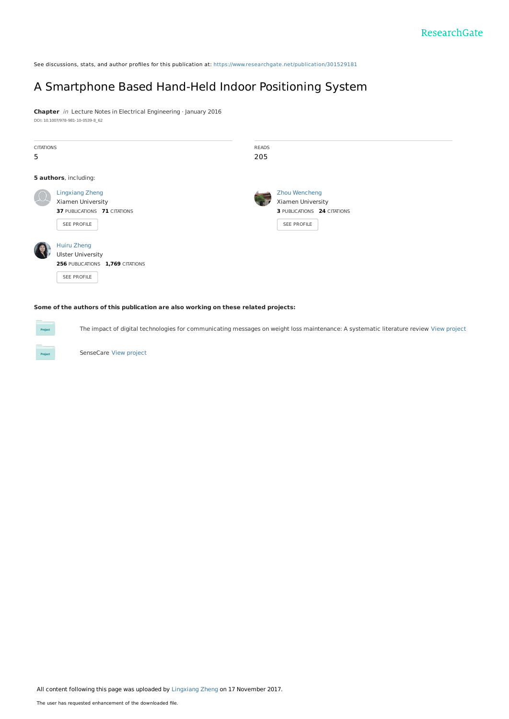See discussions, stats, and author profiles for this publication at: [https://www.researchgate.net/publication/301529181](https://www.researchgate.net/publication/301529181_A_Smartphone_Based_Hand-Held_Indoor_Positioning_System?enrichId=rgreq-2c6b1a7e2ccaecf05cbc7a00d7de97d8-XXX&enrichSource=Y292ZXJQYWdlOzMwMTUyOTE4MTtBUzo1NjE1NjIzMTQzNDI0MDBAMTUxMDg5ODI5NzQ5OQ%3D%3D&el=1_x_2&_esc=publicationCoverPdf)

# A [Smartphone](https://www.researchgate.net/publication/301529181_A_Smartphone_Based_Hand-Held_Indoor_Positioning_System?enrichId=rgreq-2c6b1a7e2ccaecf05cbc7a00d7de97d8-XXX&enrichSource=Y292ZXJQYWdlOzMwMTUyOTE4MTtBUzo1NjE1NjIzMTQzNDI0MDBAMTUxMDg5ODI5NzQ5OQ%3D%3D&el=1_x_3&_esc=publicationCoverPdf) Based Hand-Held Indoor Positioning System

**Chapter** in Lecture Notes in Electrical Engineering · January 2016 DOI: 10.1007/978-981-10-0539-8\_62

| <b>CITATIONS</b><br>5 |                                                                                                   | <b>READS</b><br>205                                                              |
|-----------------------|---------------------------------------------------------------------------------------------------|----------------------------------------------------------------------------------|
|                       | 5 authors, including:                                                                             |                                                                                  |
|                       | <b>Lingxiang Zheng</b><br>Xiamen University<br>37 PUBLICATIONS 71 CITATIONS<br>SEE PROFILE        | Zhou Wencheng<br>Xiamen University<br>3 PUBLICATIONS 24 CITATIONS<br>SEE PROFILE |
|                       | <b>Huiru Zheng</b><br><b>Ulster University</b><br>256 PUBLICATIONS 1,769 CITATIONS<br>SEE PROFILE |                                                                                  |

**Some of the authors of this publication are also working on these related projects:**

The impact of digital technologies for communicating messages on weight loss maintenance: A systematic literature review View [project](https://www.researchgate.net/project/The-impact-of-digital-technologies-for-communicating-messages-on-weight-loss-maintenance-A-systematic-literature-review?enrichId=rgreq-2c6b1a7e2ccaecf05cbc7a00d7de97d8-XXX&enrichSource=Y292ZXJQYWdlOzMwMTUyOTE4MTtBUzo1NjE1NjIzMTQzNDI0MDBAMTUxMDg5ODI5NzQ5OQ%3D%3D&el=1_x_9&_esc=publicationCoverPdf)

SenseCare View [project](https://www.researchgate.net/project/SenseCare?enrichId=rgreq-2c6b1a7e2ccaecf05cbc7a00d7de97d8-XXX&enrichSource=Y292ZXJQYWdlOzMwMTUyOTE4MTtBUzo1NjE1NjIzMTQzNDI0MDBAMTUxMDg5ODI5NzQ5OQ%3D%3D&el=1_x_9&_esc=publicationCoverPdf)

All content following this page was uploaded by [Lingxiang](https://www.researchgate.net/profile/Lingxiang_Zheng?enrichId=rgreq-2c6b1a7e2ccaecf05cbc7a00d7de97d8-XXX&enrichSource=Y292ZXJQYWdlOzMwMTUyOTE4MTtBUzo1NjE1NjIzMTQzNDI0MDBAMTUxMDg5ODI5NzQ5OQ%3D%3D&el=1_x_10&_esc=publicationCoverPdf) Zheng on 17 November 2017.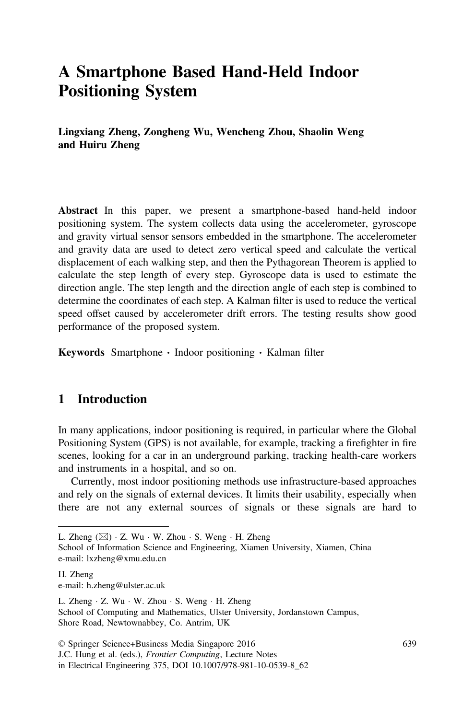## A Smartphone Based Hand-Held Indoor Positioning System

Lingxiang Zheng, Zongheng Wu, Wencheng Zhou, Shaolin Weng and Huiru Zheng

Abstract In this paper, we present a smartphone-based hand-held indoor positioning system. The system collects data using the accelerometer, gyroscope and gravity virtual sensor sensors embedded in the smartphone. The accelerometer and gravity data are used to detect zero vertical speed and calculate the vertical displacement of each walking step, and then the Pythagorean Theorem is applied to calculate the step length of every step. Gyroscope data is used to estimate the direction angle. The step length and the direction angle of each step is combined to determine the coordinates of each step. A Kalman filter is used to reduce the vertical speed offset caused by accelerometer drift errors. The testing results show good performance of the proposed system.

**Keywords** Smartphone  $\cdot$  Indoor positioning  $\cdot$  Kalman filter

## 1 Introduction

In many applications, indoor positioning is required, in particular where the Global Positioning System (GPS) is not available, for example, tracking a firefighter in fire scenes, looking for a car in an underground parking, tracking health-care workers and instruments in a hospital, and so on.

Currently, most indoor positioning methods use infrastructure-based approaches and rely on the signals of external devices. It limits their usability, especially when there are not any external sources of signals or these signals are hard to

L. Zheng  $(\boxtimes) \cdot$  Z. Wu  $\cdot$  W. Zhou  $\cdot$  S. Weng  $\cdot$  H. Zheng

H. Zheng e-mail: h.zheng@ulster.ac.uk

L. Zheng  $\cdot$  Z. Wu  $\cdot$  W. Zhou  $\cdot$  S. Weng  $\cdot$  H. Zheng School of Computing and Mathematics, Ulster University, Jordanstown Campus, Shore Road, Newtownabbey, Co. Antrim, UK

© Springer Science+Business Media Singapore 2016 J.C. Hung et al. (eds.), Frontier Computing, Lecture Notes in Electrical Engineering 375, DOI 10.1007/978-981-10-0539-8\_62

School of Information Science and Engineering, Xiamen University, Xiamen, China e-mail: lxzheng@xmu.edu.cn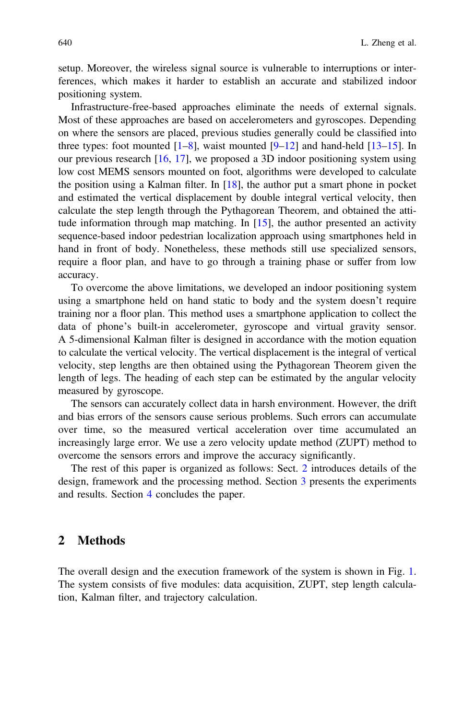setup. Moreover, the wireless signal source is vulnerable to interruptions or interferences, which makes it harder to establish an accurate and stabilized indoor positioning system.

Infrastructure-free-based approaches eliminate the needs of external signals. Most of these approaches are based on accelerometers and gyroscopes. Depending on where the sensors are placed, previous studies generally could be classified into three types: foot mounted  $[1-8]$  $[1-8]$  $[1-8]$  $[1-8]$ , waist mounted  $[9-12]$  $[9-12]$  $[9-12]$  $[9-12]$  and hand-held  $[13-15]$  $[13-15]$  $[13-15]$  $[13-15]$ . In our previous research [\[16](#page-12-0), [17\]](#page-12-0), we proposed a 3D indoor positioning system using low cost MEMS sensors mounted on foot, algorithms were developed to calculate the position using a Kalman filter. In  $[18]$  $[18]$ , the author put a smart phone in pocket and estimated the vertical displacement by double integral vertical velocity, then calculate the step length through the Pythagorean Theorem, and obtained the attitude information through map matching. In [[15\]](#page-12-0), the author presented an activity sequence-based indoor pedestrian localization approach using smartphones held in hand in front of body. Nonetheless, these methods still use specialized sensors, require a floor plan, and have to go through a training phase or suffer from low accuracy.

To overcome the above limitations, we developed an indoor positioning system using a smartphone held on hand static to body and the system doesn't require training nor a floor plan. This method uses a smartphone application to collect the data of phone's built-in accelerometer, gyroscope and virtual gravity sensor. A 5-dimensional Kalman filter is designed in accordance with the motion equation to calculate the vertical velocity. The vertical displacement is the integral of vertical velocity, step lengths are then obtained using the Pythagorean Theorem given the length of legs. The heading of each step can be estimated by the angular velocity measured by gyroscope.

The sensors can accurately collect data in harsh environment. However, the drift and bias errors of the sensors cause serious problems. Such errors can accumulate over time, so the measured vertical acceleration over time accumulated an increasingly large error. We use a zero velocity update method (ZUPT) method to overcome the sensors errors and improve the accuracy significantly.

The rest of this paper is organized as follows: Sect. 2 introduces details of the design, framework and the processing method. Section [3](#page-7-0) presents the experiments and results. Section [4](#page-11-0) concludes the paper.

#### 2 Methods

The overall design and the execution framework of the system is shown in Fig. [1](#page-3-0). The system consists of five modules: data acquisition, ZUPT, step length calculation, Kalman filter, and trajectory calculation.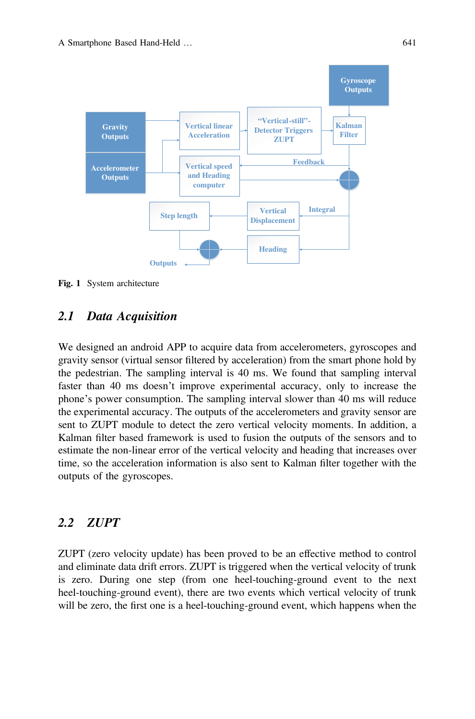<span id="page-3-0"></span>

Fig. 1 System architecture

## 2.1 Data Acquisition

We designed an android APP to acquire data from accelerometers, gyroscopes and gravity sensor (virtual sensor filtered by acceleration) from the smart phone hold by the pedestrian. The sampling interval is 40 ms. We found that sampling interval faster than 40 ms doesn't improve experimental accuracy, only to increase the phone's power consumption. The sampling interval slower than 40 ms will reduce the experimental accuracy. The outputs of the accelerometers and gravity sensor are sent to ZUPT module to detect the zero vertical velocity moments. In addition, a Kalman filter based framework is used to fusion the outputs of the sensors and to estimate the non-linear error of the vertical velocity and heading that increases over time, so the acceleration information is also sent to Kalman filter together with the outputs of the gyroscopes.

## 2.2 ZUPT

ZUPT (zero velocity update) has been proved to be an effective method to control and eliminate data drift errors. ZUPT is triggered when the vertical velocity of trunk is zero. During one step (from one heel-touching-ground event to the next heel-touching-ground event), there are two events which vertical velocity of trunk will be zero, the first one is a heel-touching-ground event, which happens when the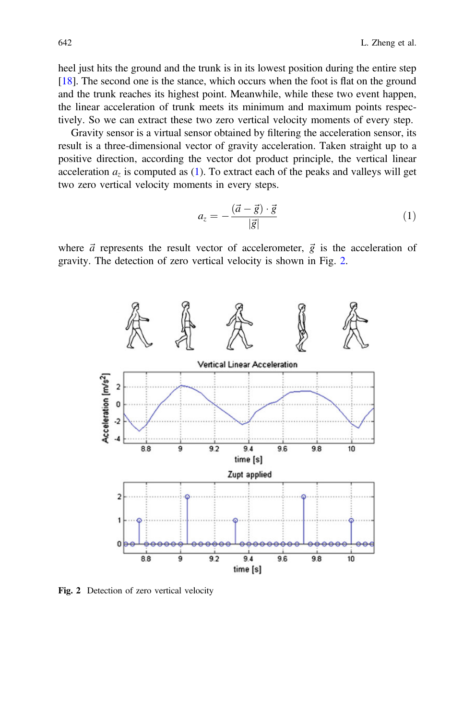heel just hits the ground and the trunk is in its lowest position during the entire step [\[18](#page-12-0)]. The second one is the stance, which occurs when the foot is flat on the ground and the trunk reaches its highest point. Meanwhile, while these two event happen, the linear acceleration of trunk meets its minimum and maximum points respectively. So we can extract these two zero vertical velocity moments of every step.

Gravity sensor is a virtual sensor obtained by filtering the acceleration sensor, its result is a three-dimensional vector of gravity acceleration. Taken straight up to a positive direction, according the vector dot product principle, the vertical linear acceleration  $a<sub>z</sub>$  is computed as (1). To extract each of the peaks and valleys will get two zero vertical velocity moments in every steps.

$$
a_z = -\frac{(\vec{a} - \vec{g}) \cdot \vec{g}}{|\vec{g}|} \tag{1}
$$

where  $\vec{a}$  represents the result vector of accelerometer,  $\vec{g}$  is the acceleration of gravity. The detection of zero vertical velocity is shown in Fig. 2.



Fig. 2 Detection of zero vertical velocity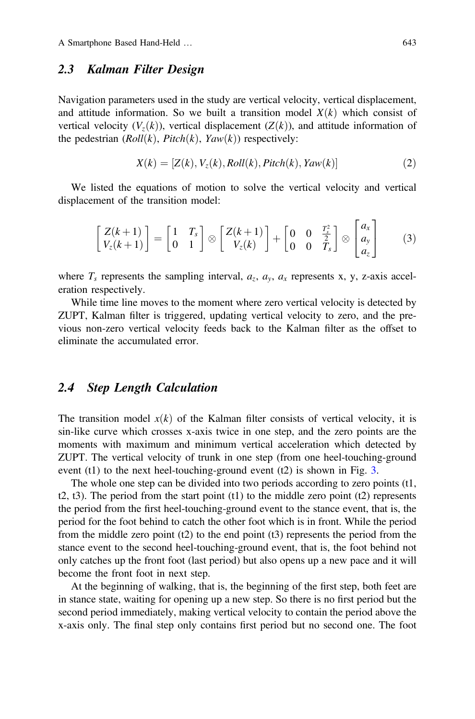#### 2.3 Kalman Filter Design

Navigation parameters used in the study are vertical velocity, vertical displacement, and attitude information. So we built a transition model  $X(k)$  which consist of vertical velocity  $(V_z(k))$ , vertical displacement  $(Z(k))$ , and attitude information of the pedestrian  $(Roll(k), Pitch(k), Yaw(k))$  respectively:

$$
X(k) = [Z(k), V_z(k), Roll(k), Pitch(k), Yaw(k)]
$$
\n(2)

We listed the equations of motion to solve the vertical velocity and vertical displacement of the transition model:

$$
\begin{bmatrix} Z(k+1) \\ V_z(k+1) \end{bmatrix} = \begin{bmatrix} 1 & T_s \\ 0 & 1 \end{bmatrix} \otimes \begin{bmatrix} Z(k+1) \\ V_z(k) \end{bmatrix} + \begin{bmatrix} 0 & 0 & \frac{T_s^2}{2} \\ 0 & 0 & T_s \end{bmatrix} \otimes \begin{bmatrix} a_x \\ a_y \\ a_z \end{bmatrix}
$$
 (3)

where  $T_s$  represents the sampling interval,  $a_z$ ,  $a_y$ ,  $a_x$  represents x, y, z-axis acceleration respectively.

While time line moves to the moment where zero vertical velocity is detected by ZUPT, Kalman filter is triggered, updating vertical velocity to zero, and the previous non-zero vertical velocity feeds back to the Kalman filter as the offset to eliminate the accumulated error.

#### 2.4 Step Length Calculation

The transition model  $x(k)$  of the Kalman filter consists of vertical velocity, it is sin-like curve which crosses x-axis twice in one step, and the zero points are the moments with maximum and minimum vertical acceleration which detected by ZUPT. The vertical velocity of trunk in one step (from one heel-touching-ground event (t1) to the next heel-touching-ground event (t2) is shown in Fig. [3](#page-6-0).

The whole one step can be divided into two periods according to zero points (t1,  $t2$ ,  $t3$ ). The period from the start point  $(t1)$  to the middle zero point  $(t2)$  represents the period from the first heel-touching-ground event to the stance event, that is, the period for the foot behind to catch the other foot which is in front. While the period from the middle zero point  $(12)$  to the end point  $(13)$  represents the period from the stance event to the second heel-touching-ground event, that is, the foot behind not only catches up the front foot (last period) but also opens up a new pace and it will become the front foot in next step.

At the beginning of walking, that is, the beginning of the first step, both feet are in stance state, waiting for opening up a new step. So there is no first period but the second period immediately, making vertical velocity to contain the period above the x-axis only. The final step only contains first period but no second one. The foot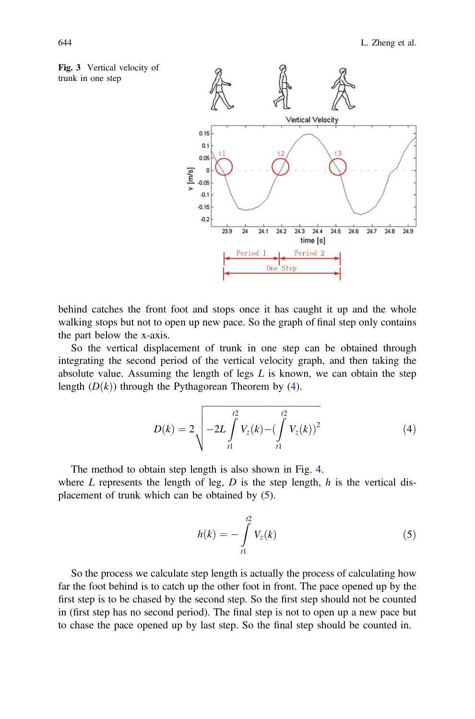

behind catches the front foot and stops once it has caught it up and the whole walking stops but not to open up new pace. So the graph of final step only contains the part below the x-axis.

So the vertical displacement of trunk in one step can be obtained through integrating the second period of the vertical velocity graph, and then taking the absolute value. Assuming the length of legs  $L$  is known, we can obtain the step length  $(D(k))$  through the Pythagorean Theorem by (4).

$$
D(k) = 2\sqrt{-2L \int_{t1}^{t2} V_z(k) - (\int_{t1}^{t2} V_z(k))^2}
$$
 (4)

The method to obtain step length is also shown in Fig. [4](#page-7-0).

where  $L$  represents the length of leg,  $D$  is the step length,  $h$  is the vertical displacement of trunk which can be obtained by (5).

$$
h(k) = -\int_{t1}^{t2} V_z(k)
$$
 (5)

So the process we calculate step length is actually the process of calculating how far the foot behind is to catch up the other foot in front. The pace opened up by the first step is to be chased by the second step. So the first step should not be counted in (first step has no second period). The final step is not to open up a new pace but to chase the pace opened up by last step. So the final step should be counted in.

<span id="page-6-0"></span>Fig. 3 Vertical velocity of trunk in one step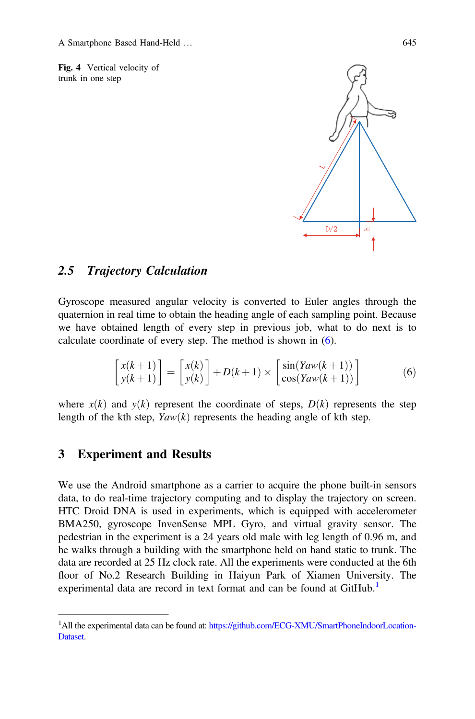<span id="page-7-0"></span>A Smartphone Based Hand-Held … 645

Fig. 4 Vertical velocity of trunk in one step



## 2.5 Trajectory Calculation

Gyroscope measured angular velocity is converted to Euler angles through the quaternion in real time to obtain the heading angle of each sampling point. Because we have obtained length of every step in previous job, what to do next is to calculate coordinate of every step. The method is shown in (6).

$$
\begin{bmatrix} x(k+1) \\ y(k+1) \end{bmatrix} = \begin{bmatrix} x(k) \\ y(k) \end{bmatrix} + D(k+1) \times \begin{bmatrix} \sin(Yaw(k+1)) \\ \cos(Yaw(k+1)) \end{bmatrix}
$$
 (6)

where  $x(k)$  and  $y(k)$  represent the coordinate of steps,  $D(k)$  represents the step length of the kth step,  $Yaw(k)$  represents the heading angle of kth step.

#### 3 Experiment and Results

We use the Android smartphone as a carrier to acquire the phone built-in sensors data, to do real-time trajectory computing and to display the trajectory on screen. HTC Droid DNA is used in experiments, which is equipped with accelerometer BMA250, gyroscope InvenSense MPL Gyro, and virtual gravity sensor. The pedestrian in the experiment is a 24 years old male with leg length of 0.96 m, and he walks through a building with the smartphone held on hand static to trunk. The data are recorded at 25 Hz clock rate. All the experiments were conducted at the 6th floor of No.2 Research Building in Haiyun Park of Xiamen University. The experimental data are record in text format and can be found at GitHub.<sup>1</sup>

<sup>&</sup>lt;sup>1</sup>All the experimental data can be found at: [https://github.com/ECG-XMU/SmartPhoneIndoorLocation-](https://github.com/ECG-XMU/SmartPhoneIndoorLocation-Dataset)[Dataset.](https://github.com/ECG-XMU/SmartPhoneIndoorLocation-Dataset)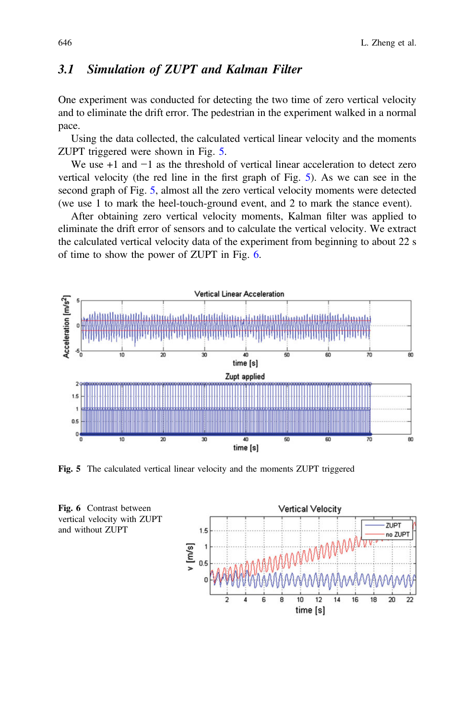### <span id="page-8-0"></span>3.1 Simulation of ZUPT and Kalman Filter

One experiment was conducted for detecting the two time of zero vertical velocity and to eliminate the drift error. The pedestrian in the experiment walked in a normal pace.

Using the data collected, the calculated vertical linear velocity and the moments ZUPT triggered were shown in Fig. 5.

We use +1 and −1 as the threshold of vertical linear acceleration to detect zero vertical velocity (the red line in the first graph of Fig. 5). As we can see in the second graph of Fig. 5, almost all the zero vertical velocity moments were detected (we use 1 to mark the heel-touch-ground event, and 2 to mark the stance event).

After obtaining zero vertical velocity moments, Kalman filter was applied to eliminate the drift error of sensors and to calculate the vertical velocity. We extract the calculated vertical velocity data of the experiment from beginning to about 22 s of time to show the power of ZUPT in Fig. 6.



Fig. 5 The calculated vertical linear velocity and the moments ZUPT triggered



and without ZUPT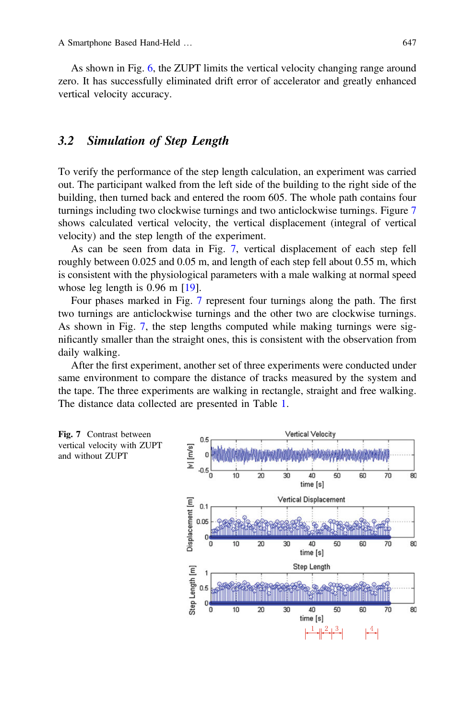As shown in Fig. [6,](#page-8-0) the ZUPT limits the vertical velocity changing range around zero. It has successfully eliminated drift error of accelerator and greatly enhanced vertical velocity accuracy.

#### 3.2 Simulation of Step Length

To verify the performance of the step length calculation, an experiment was carried out. The participant walked from the left side of the building to the right side of the building, then turned back and entered the room 605. The whole path contains four turnings including two clockwise turnings and two anticlockwise turnings. Figure 7 shows calculated vertical velocity, the vertical displacement (integral of vertical velocity) and the step length of the experiment.

As can be seen from data in Fig. 7, vertical displacement of each step fell roughly between 0.025 and 0.05 m, and length of each step fell about 0.55 m, which is consistent with the physiological parameters with a male walking at normal speed whose leg length is 0.96 m [[19\]](#page-12-0).

Four phases marked in Fig. 7 represent four turnings along the path. The first two turnings are anticlockwise turnings and the other two are clockwise turnings. As shown in Fig. 7, the step lengths computed while making turnings were significantly smaller than the straight ones, this is consistent with the observation from daily walking.

After the first experiment, another set of three experiments were conducted under same environment to compare the distance of tracks measured by the system and the tape. The three experiments are walking in rectangle, straight and free walking. The distance data collected are presented in Table [1](#page-10-0).

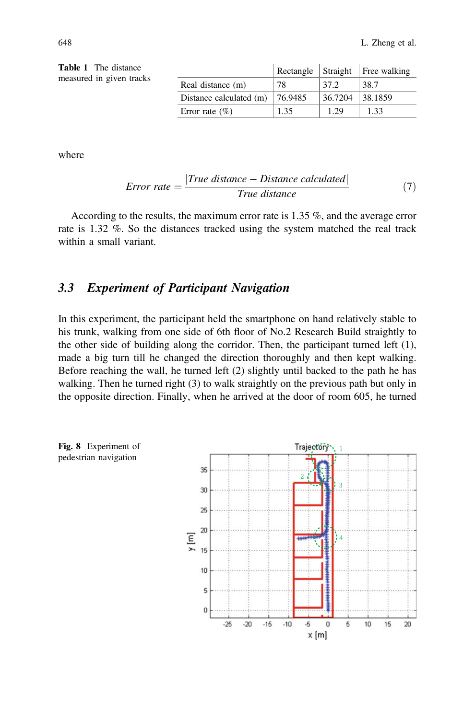<span id="page-10-0"></span>

| <b>Table 1</b> The distance |                         | Rectangle Straight |         | Free walking |
|-----------------------------|-------------------------|--------------------|---------|--------------|
| measured in given tracks    | Real distance (m)       | 78                 | 37.2    | 38.7         |
|                             | Distance calculated (m) | 76.9485            | 36.7204 | 38.1859      |
|                             | Error rate $(\% )$      | 1.35               | 1.29    | 1.33         |

where

$$
Error rate = \frac{|True distance - Distance calculated|}{True distance}
$$
\n(7)

According to the results, the maximum error rate is 1.35 %, and the average error rate is 1.32 %. So the distances tracked using the system matched the real track within a small variant.

#### 3.3 Experiment of Participant Navigation

In this experiment, the participant held the smartphone on hand relatively stable to his trunk, walking from one side of 6th floor of No.2 Research Build straightly to the other side of building along the corridor. Then, the participant turned left (1), made a big turn till he changed the direction thoroughly and then kept walking. Before reaching the wall, he turned left (2) slightly until backed to the path he has walking. Then he turned right (3) to walk straightly on the previous path but only in the opposite direction. Finally, when he arrived at the door of room 605, he turned

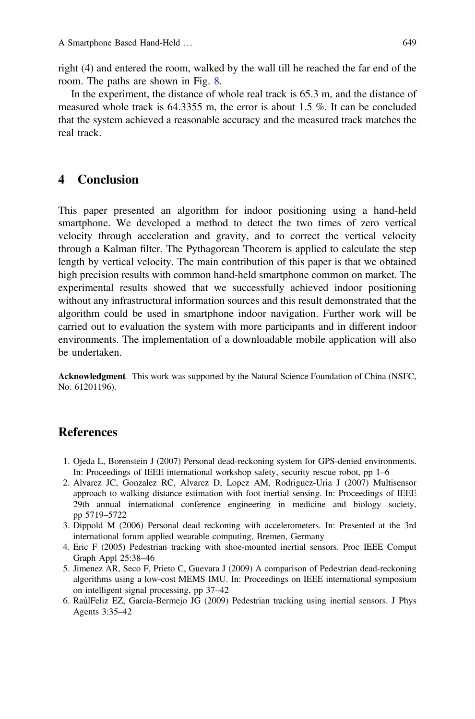<span id="page-11-0"></span>right (4) and entered the room, walked by the wall till he reached the far end of the room. The paths are shown in Fig. [8](#page-10-0).

In the experiment, the distance of whole real track is 65.3 m, and the distance of measured whole track is 64.3355 m, the error is about 1.5 %. It can be concluded that the system achieved a reasonable accuracy and the measured track matches the real track.

## 4 Conclusion

This paper presented an algorithm for indoor positioning using a hand-held smartphone. We developed a method to detect the two times of zero vertical velocity through acceleration and gravity, and to correct the vertical velocity through a Kalman filter. The Pythagorean Theorem is applied to calculate the step length by vertical velocity. The main contribution of this paper is that we obtained high precision results with common hand-held smartphone common on market. The experimental results showed that we successfully achieved indoor positioning without any infrastructural information sources and this result demonstrated that the algorithm could be used in smartphone indoor navigation. Further work will be carried out to evaluation the system with more participants and in different indoor environments. The implementation of a downloadable mobile application will also be undertaken.

Acknowledgment This work was supported by the Natural Science Foundation of China (NSFC, No. 61201196).

#### References

- 1. Ojeda L, Borenstein J (2007) Personal dead-reckoning system for GPS-denied environments. In: Proceedings of IEEE international workshop safety, security rescue robot, pp 1–6
- 2. Alvarez JC, Gonzalez RC, Alvarez D, Lopez AM, Rodriguez-Uria J (2007) Multisensor approach to walking distance estimation with foot inertial sensing. In: Proceedings of IEEE 29th annual international conference engineering in medicine and biology society, pp 5719–5722
- 3. Dippold M (2006) Personal dead reckoning with accelerometers. In: Presented at the 3rd international forum applied wearable computing, Bremen, Germany
- 4. Eric F (2005) Pedestrian tracking with shoe-mounted inertial sensors. Proc IEEE Comput Graph Appl 25:38–46
- 5. Jimenez AR, Seco F, Prieto C, Guevara J (2009) A comparison of Pedestrian dead-reckoning algorithms using a low-cost MEMS IMU. In: Proceedings on IEEE international symposium on intelligent signal processing, pp 37–42
- 6. RaúlFeliz EZ, García-Bermejo JG (2009) Pedestrian tracking using inertial sensors. J Phys Agents 3:35–42